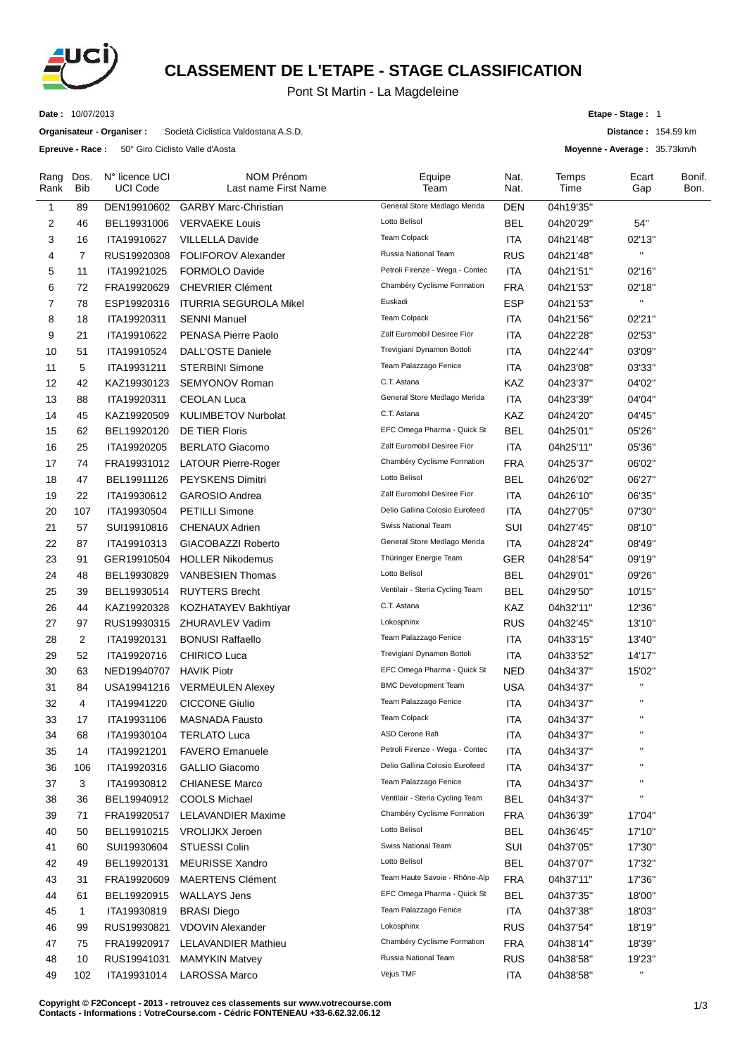

## **CLASSEMENT DE L'ETAPE - STAGE CLASSIFICATION**

## Pont St Martin - La Magdeleine

**Date :** 10/07/2013

**Organisateur - Organiser :** Società Ciclistica Valdostana A.S.D.

**Epreuve - Race :** 50° Giro Ciclisto Valle d'Aosta

**Etape - Stage :** 1

**Distance :** 154.59 km

**Moyenne - Average :** 35.73km/h

| Rang<br>Rank   | Dos.<br>Bib    | N° licence UCI<br><b>UCI Code</b> | <b>NOM Prénom</b><br>Last name First Name | Equipe<br>Team                  | Nat.<br>Nat. | Temps<br>Time | Ecart<br>Gap       | Bonif.<br>Bon. |
|----------------|----------------|-----------------------------------|-------------------------------------------|---------------------------------|--------------|---------------|--------------------|----------------|
| $\mathbf{1}$   | 89             | DEN19910602                       | <b>GARBY Marc-Christian</b>               | General Store Medlago Merida    | <b>DEN</b>   | 04h19'35"     |                    |                |
| 2              | 46             | BEL19931006                       | <b>VERVAEKE Louis</b>                     | Lotto Belisol                   | <b>BEL</b>   | 04h20'29"     | 54"                |                |
| 3              | 16             | ITA19910627                       | <b>VILLELLA Davide</b>                    | <b>Team Colpack</b>             | ITA          | 04h21'48"     | 02'13"             |                |
| 4              | $\overline{7}$ | RUS19920308                       | <b>FOLIFOROV Alexander</b>                | Russia National Team            | <b>RUS</b>   | 04h21'48"     | $\pmb{\mathsf{H}}$ |                |
| 5              | 11             | ITA19921025                       | <b>FORMOLO Davide</b>                     | Petroli Firenze - Wega - Contec | <b>ITA</b>   | 04h21'51"     | 02'16"             |                |
| 6              | 72             | FRA19920629                       | <b>CHEVRIER Clément</b>                   | Chambéry Cyclisme Formation     | <b>FRA</b>   | 04h21'53"     | 02'18"             |                |
| $\overline{7}$ | 78             | ESP19920316                       | <b>ITURRIA SEGUROLA Mikel</b>             | Euskadi                         | <b>ESP</b>   | 04h21'53"     | $\mathbf{H}$       |                |
| 8              | 18             | ITA19920311                       | <b>SENNI Manuel</b>                       | <b>Team Colpack</b>             | <b>ITA</b>   | 04h21'56"     | 02'21"             |                |
| 9              | 21             | ITA19910622                       | PENASA Pierre Paolo                       | Zalf Euromobil Desiree Fior     | <b>ITA</b>   | 04h22'28"     | 02'53"             |                |
| 10             | 51             | ITA19910524                       | <b>DALL'OSTE Daniele</b>                  | Trevigiani Dynamon Bottoli      | <b>ITA</b>   | 04h22'44"     | 03'09"             |                |
| 11             | 5              | ITA19931211                       | <b>STERBINI Simone</b>                    | Team Palazzago Fenice           | ITA          | 04h23'08"     | 03'33"             |                |
| 12             | 42             | KAZ19930123                       | <b>SEMYONOV Roman</b>                     | C.T. Astana                     | KAZ          | 04h23'37"     | 04'02"             |                |
| 13             | 88             | ITA19920311                       | <b>CEOLAN Luca</b>                        | General Store Medlago Merida    | ITA          | 04h23'39"     | 04'04"             |                |
| 14             | 45             | KAZ19920509                       | <b>KULIMBETOV Nurbolat</b>                | C.T. Astana                     | KAZ          | 04h24'20"     | 04'45"             |                |
| 15             | 62             | BEL19920120                       | <b>DE TIER Floris</b>                     | EFC Omega Pharma - Quick St     | BEL          | 04h25'01"     | 05'26"             |                |
| 16             | 25             | ITA19920205                       | <b>BERLATO Giacomo</b>                    | Zalf Euromobil Desiree Fior     | <b>ITA</b>   | 04h25'11"     | 05'36"             |                |
| 17             | 74             | FRA19931012                       | <b>LATOUR Pierre-Roger</b>                | Chambéry Cyclisme Formation     | <b>FRA</b>   | 04h25'37"     | 06'02"             |                |
| 18             | 47             | BEL19911126                       | <b>PEYSKENS Dimitri</b>                   | Lotto Belisol                   | <b>BEL</b>   | 04h26'02"     | 06'27"             |                |
| 19             | 22             | ITA19930612                       | <b>GAROSIO Andrea</b>                     | Zalf Euromobil Desiree Fior     | ITA          | 04h26'10"     | 06'35"             |                |
| 20             | 107            | ITA19930504                       | <b>PETILLI Simone</b>                     | Delio Gallina Colosio Eurofeed  | <b>ITA</b>   | 04h27'05"     | 07'30"             |                |
| 21             | 57             | SUI19910816                       | <b>CHENAUX Adrien</b>                     | Swiss National Team             | SUI          | 04h27'45"     | 08'10"             |                |
| 22             | 87             | ITA19910313                       | GIACOBAZZI Roberto                        | General Store Medlago Merida    | ITA          | 04h28'24"     | 08'49"             |                |
| 23             | 91             | GER19910504                       | <b>HOLLER Nikodemus</b>                   | Thüringer Energie Team          | <b>GER</b>   | 04h28'54"     | 09'19"             |                |
| 24             | 48             | BEL19930829                       | VANBESIEN Thomas                          | Lotto Belisol                   | <b>BEL</b>   | 04h29'01"     | 09'26"             |                |
| 25             | 39             | BEL19930514                       | <b>RUYTERS Brecht</b>                     | Ventilair - Steria Cycling Team | <b>BEL</b>   | 04h29'50"     | 10'15"             |                |
| 26             | 44             | KAZ19920328                       | KOZHATAYEV Bakhtiyar                      | C.T. Astana                     | KAZ          | 04h32'11"     | 12'36"             |                |
| 27             | 97             | RUS19930315                       | <b>ZHURAVLEV Vadim</b>                    | Lokosphinx                      | <b>RUS</b>   | 04h32'45"     | 13'10"             |                |
| 28             | $\overline{2}$ | ITA19920131                       | <b>BONUSI Raffaello</b>                   | Team Palazzago Fenice           | <b>ITA</b>   | 04h33'15"     | 13'40"             |                |
| 29             | 52             | ITA19920716                       | <b>CHIRICO Luca</b>                       | Trevigiani Dynamon Bottoli      | ITA          | 04h33'52"     | 14'17"             |                |
| 30             | 63             | NED19940707                       | <b>HAVIK Piotr</b>                        | EFC Omega Pharma - Quick St     | <b>NED</b>   | 04h34'37"     | 15'02"             |                |
| 31             | 84             | USA19941216                       | <b>VERMEULEN Alexey</b>                   | <b>BMC Development Team</b>     | <b>USA</b>   | 04h34'37"     | $\mathbf{H}$       |                |
| 32             | 4              | ITA19941220                       | <b>CICCONE Giulio</b>                     | Team Palazzago Fenice           | <b>ITA</b>   | 04h34'37"     | $\pmb{\mathsf{H}}$ |                |
| 33             | 17             | ITA19931106                       | <b>MASNADA Fausto</b>                     | <b>Team Colpack</b>             | <b>ITA</b>   | 04h34'37"     | $\mathbf{H}$       |                |
| 34             | 68             | ITA19930104                       | <b>TERLATO Luca</b>                       | ASD Cerone Rafi                 | <b>ITA</b>   | 04h34'37"     |                    |                |
| 35             | 14             | ITA19921201                       | <b>FAVERO</b> Emanuele                    | Petroli Firenze - Wega - Contec | <b>ITA</b>   | 04h34'37"     | $\pmb{\mathsf{H}}$ |                |
| 36             | 106            | ITA19920316                       | GALLIO Giacomo                            | Delio Gallina Colosio Eurofeed  | <b>ITA</b>   | 04h34'37"     | $\pmb{\mathsf{H}}$ |                |
| 37             | 3              | ITA19930812                       | <b>CHIANESE Marco</b>                     | Team Palazzago Fenice           | <b>ITA</b>   | 04h34'37"     | $\mathbf{H}$       |                |
| 38             | 36             | BEL19940912                       | <b>COOLS Michael</b>                      | Ventilair - Steria Cycling Team | <b>BEL</b>   | 04h34'37"     | $\pmb{\mathsf{u}}$ |                |
| 39             | 71             | FRA19920517                       | <b>LELAVANDIER Maxime</b>                 | Chambéry Cyclisme Formation     | <b>FRA</b>   | 04h36'39"     | 17'04"             |                |
| 40             | 50             | BEL19910215                       | <b>VROLIJKX Jeroen</b>                    | Lotto Belisol                   | <b>BEL</b>   | 04h36'45"     | 17'10"             |                |
| 41             | 60             | SUI19930604                       | STUESSI Colin                             | Swiss National Team             | SUI          | 04h37'05"     | 17'30"             |                |
| 42             | 49             | BEL19920131                       | <b>MEURISSE Xandro</b>                    | Lotto Belisol                   | <b>BEL</b>   | 04h37'07"     | 17'32"             |                |
| 43             | 31             | FRA19920609                       | <b>MAERTENS Clément</b>                   | Team Haute Savoie - Rhône-Alp   | <b>FRA</b>   | 04h37'11"     | 17'36"             |                |
| 44             | 61             | BEL19920915                       | <b>WALLAYS Jens</b>                       | EFC Omega Pharma - Quick St     | <b>BEL</b>   | 04h37'35"     | 18'00"             |                |
| 45             | 1              | ITA19930819                       | <b>BRASI</b> Diego                        | Team Palazzago Fenice           | ITA          | 04h37'38"     | 18'03"             |                |
| 46             | 99             | RUS19930821                       | <b>VDOVIN Alexander</b>                   | Lokosphinx                      | <b>RUS</b>   | 04h37'54"     | 18'19"             |                |
| 47             | 75             | FRA19920917                       | LELAVANDIER Mathieu                       | Chambéry Cyclisme Formation     | <b>FRA</b>   | 04h38'14"     | 18'39"             |                |
| 48             | 10             | RUS19941031                       | <b>MAMYKIN Matvey</b>                     | Russia National Team            | <b>RUS</b>   | 04h38'58"     | 19'23"             |                |
| 49             | 102            | ITA19931014                       | LAROSSA Marco                             | Vejus TMF                       | <b>ITA</b>   | 04h38'58"     | $\mathbf{H}$       |                |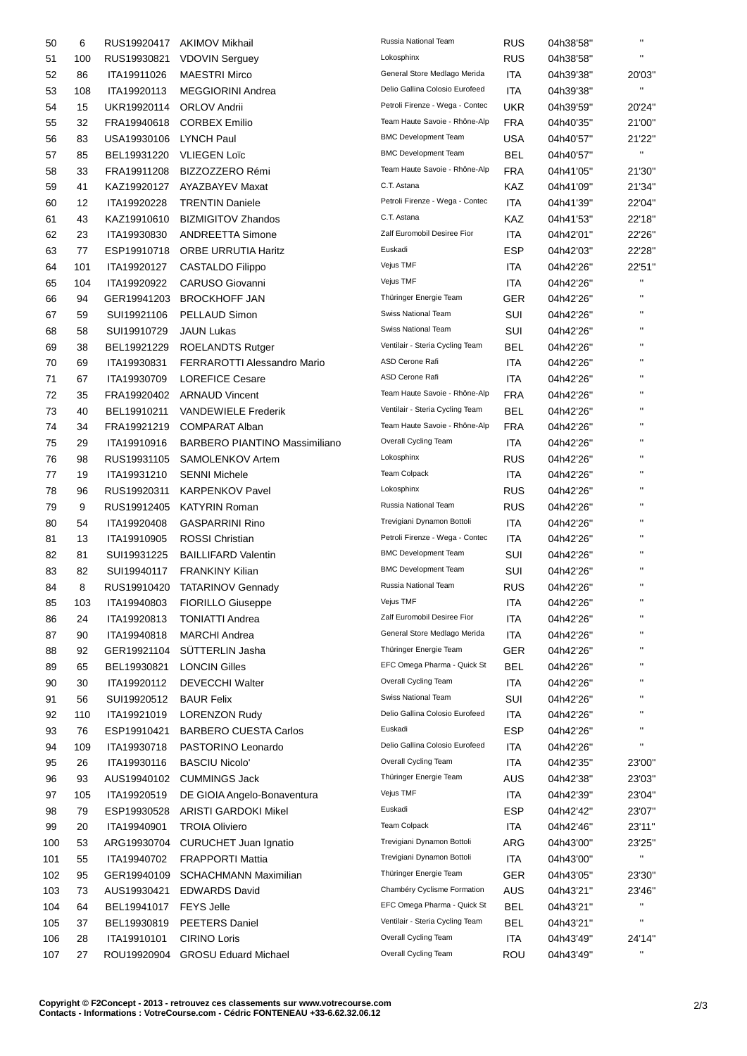| 50  | 6   | RUS19920417                | <b>AKIMOV Mikhail</b>                                | Russia National Team            | <b>RUS</b>        | 04h38'58"              | $\blacksquare$         |
|-----|-----|----------------------------|------------------------------------------------------|---------------------------------|-------------------|------------------------|------------------------|
| 51  | 100 | RUS19930821                | <b>VDOVIN Serguey</b>                                | Lokosphinx                      | <b>RUS</b>        | 04h38'58"              | $\blacksquare$         |
| 52  | 86  | ITA19911026                | <b>MAESTRI Mirco</b>                                 | General Store Medlago Merida    | <b>ITA</b>        | 04h39'38"              | 20'03"                 |
| 53  | 108 | ITA19920113                | <b>MEGGIORINI Andrea</b>                             | Delio Gallina Colosio Eurofeed  | <b>ITA</b>        | 04h39'38"              | .,                     |
| 54  | 15  | UKR19920114                | <b>ORLOV Andrii</b>                                  | Petroli Firenze - Wega - Contec | <b>UKR</b>        | 04h39'59"              | 20'24"                 |
| 55  | 32  | FRA19940618                | <b>CORBEX Emilio</b>                                 | Team Haute Savoie - Rhône-Alp   | <b>FRA</b>        | 04h40'35"              | 21'00"                 |
| 56  | 83  | USA19930106                | <b>LYNCH Paul</b>                                    | <b>BMC Development Team</b>     | <b>USA</b>        | 04h40'57"              | 21'22"                 |
| 57  | 85  | BEL19931220                | <b>VLIEGEN Loïc</b>                                  | <b>BMC Development Team</b>     | <b>BEL</b>        | 04h40'57"              | $\mathbf{H}$           |
| 58  | 33  | FRA19911208                | BIZZOZZERO Rémi                                      | Team Haute Savoie - Rhône-Alp   | <b>FRA</b>        | 04h41'05"              | 21'30"                 |
| 59  | 41  | KAZ19920127                | AYAZBAYEV Maxat                                      | C.T. Astana                     | KAZ               | 04h41'09"              | 21'34"                 |
| 60  | 12  | ITA19920228                | <b>TRENTIN Daniele</b>                               | Petroli Firenze - Wega - Contec | <b>ITA</b>        | 04h41'39"              | 22'04"                 |
| 61  | 43  | KAZ19910610                | <b>BIZMIGITOV Zhandos</b>                            | C.T. Astana                     | KAZ               | 04h41'53"              | 22'18"                 |
| 62  | 23  | ITA19930830                | <b>ANDREETTA Simone</b>                              | Zalf Euromobil Desiree Fior     | ITA               | 04h42'01"              | 22'26"                 |
| 63  | 77  | ESP19910718                | <b>ORBE URRUTIA Haritz</b>                           | Euskadi                         | ESP               | 04h42'03"              | 22'28"                 |
| 64  | 101 | ITA19920127                | CASTALDO Filippo                                     | Vejus TMF                       | ITA               | 04h42'26"              | 22'51"                 |
| 65  | 104 | ITA19920922                | <b>CARUSO Giovanni</b>                               | Vejus TMF                       | ITA               | 04h42'26"              | $\mathbf{H}$           |
| 66  | 94  | GER19941203                | <b>BROCKHOFF JAN</b>                                 | Thüringer Energie Team          | GER               | 04h42'26"              | $\mathbf{H}$           |
| 67  | 59  | SUI19921106                | PELLAUD Simon                                        | Swiss National Team             | SUI               | 04h42'26"              | $\mathbf{H}$           |
| 68  | 58  | SUI19910729                | <b>JAUN Lukas</b>                                    | Swiss National Team             | SUI               | 04h42'26"              | $\blacksquare$         |
| 69  | 38  | BEL19921229                | <b>ROELANDTS Rutger</b>                              | Ventilair - Steria Cycling Team | BEL               | 04h42'26"              | $\mathbf{H}$           |
| 70  | 69  | ITA19930831                | <b>FERRAROTTI Alessandro Mario</b>                   | ASD Cerone Rafi                 | <b>ITA</b>        | 04h42'26"              | $\mathbf{H}$           |
| 71  | 67  | ITA19930709                | <b>LOREFICE Cesare</b>                               | ASD Cerone Rafi                 | ITA               | 04h42'26"              | $\mathbf{H}$           |
| 72  | 35  | FRA19920402                | <b>ARNAUD Vincent</b>                                | Team Haute Savoie - Rhône-Alp   | <b>FRA</b>        | 04h42'26"              | $\mathbf{H}$           |
| 73  | 40  | BEL19910211                | <b>VANDEWIELE Frederik</b>                           | Ventilair - Steria Cycling Team | BEL               | 04h42'26"              | $\mathbf{H}$           |
| 74  | 34  | FRA19921219                | <b>COMPARAT Alban</b>                                | Team Haute Savoie - Rhône-Alp   | <b>FRA</b>        | 04h42'26"              | $\blacksquare$         |
| 75  | 29  | ITA19910916                | <b>BARBERO PIANTINO Massimiliano</b>                 | Overall Cycling Team            | ITA               | 04h42'26"              | $\pmb{\mathsf{H}}$     |
| 76  | 98  | RUS19931105                | SAMOLENKOV Artem                                     | Lokosphinx                      | <b>RUS</b>        | 04h42'26"              | $\mathbf{H}$           |
| 77  | 19  | ITA19931210                | <b>SENNI Michele</b>                                 | Team Colpack                    | ITA               | 04h42'26"              | $\mathbf{H}$           |
| 78  | 96  | RUS19920311                | <b>KARPENKOV Pavel</b>                               | Lokosphinx                      | <b>RUS</b>        | 04h42'26"              | $\mathbf{H}$           |
| 79  | 9   | RUS19912405                | <b>KATYRIN Roman</b>                                 | Russia National Team            | <b>RUS</b>        | 04h42'26"              | $\mathbf{H}$           |
| 80  | 54  | ITA19920408                | <b>GASPARRINI Rino</b>                               | Trevigiani Dynamon Bottoli      | <b>ITA</b>        | 04h42'26"              | $\mathbf{H}$           |
| 81  | 13  | ITA19910905                | <b>ROSSI Christian</b>                               | Petroli Firenze - Wega - Contec | ITA               | 04h42'26"              | $\mathbf{H}$           |
| 82  | 81  | SUI19931225                | <b>BAILLIFARD Valentin</b>                           | <b>BMC Development Team</b>     | SUI               | 04h42'26"              | $\blacksquare$         |
| 83  | 82  | SUI19940117                | <b>FRANKINY Kilian</b>                               | <b>BMC Development Team</b>     | SUI               | 04h42'26"              | $\blacksquare$         |
| 84  | 8   |                            | RUS19910420 TATARINOV Gennady                        | Russia National Team            | <b>RUS</b>        | 04h42'26"              | $\blacksquare$         |
| 85  | 103 | ITA19940803                | FIORILLO Giuseppe                                    | Vejus TMF                       | <b>ITA</b>        | 04h42'26"              |                        |
|     | 24  | ITA19920813                | <b>TONIATTI Andrea</b>                               | Zalf Euromobil Desiree Fior     | <b>ITA</b>        | 04h42'26"              | $\pmb{\mathsf{H}}$     |
| 86  |     | ITA19940818                | <b>MARCHI</b> Andrea                                 | General Store Medlago Merida    | <b>ITA</b>        | 04h42'26"              | $\pmb{\mathsf{H}}$     |
| 87  | 90  |                            | SÜTTERLIN Jasha                                      | Thüringer Energie Team          | <b>GER</b>        | 04h42'26"              | $\blacksquare$         |
| 88  | 92  | GER19921104<br>BEL19930821 | <b>LONCIN Gilles</b>                                 | EFC Omega Pharma - Quick St     | <b>BEL</b>        | 04h42'26"              | $\blacksquare$         |
| 89  | 65  |                            |                                                      | Overall Cycling Team            |                   |                        | $\blacksquare$         |
| 90  | 30  | ITA19920112<br>SUI19920512 | <b>DEVECCHI Walter</b><br><b>BAUR Felix</b>          | Swiss National Team             | <b>ITA</b><br>SUI | 04h42'26"<br>04h42'26" | $\blacksquare$         |
| 91  | 56  | ITA19921019                |                                                      | Delio Gallina Colosio Eurofeed  |                   |                        | $\blacksquare$         |
| 92  | 110 |                            | <b>LORENZON Rudy</b><br><b>BARBERO CUESTA Carlos</b> | Euskadi                         | <b>ITA</b>        | 04h42'26"              | $\mathbf{H}$           |
| 93  | 76  | ESP19910421                |                                                      | Delio Gallina Colosio Eurofeed  | <b>ESP</b>        | 04h42'26"              | $\blacksquare$         |
| 94  | 109 | ITA19930718                | PASTORINO Leonardo                                   | Overall Cycling Team            | <b>ITA</b>        | 04h42'26"              |                        |
| 95  | 26  | ITA19930116                | <b>BASCIU Nicolo'</b>                                | Thüringer Energie Team          | <b>ITA</b>        | 04h42'35"              | 23'00"                 |
| 96  | 93  | AUS19940102                | <b>CUMMINGS Jack</b>                                 | Vejus TMF                       | <b>AUS</b>        | 04h42'38"              | 23'03"                 |
| 97  | 105 | ITA19920519                | DE GIOIA Angelo-Bonaventura                          | Euskadi                         | <b>ITA</b>        | 04h42'39"              | 23'04"                 |
| 98  | 79  | ESP19930528                | <b>ARISTI GARDOKI Mikel</b>                          |                                 | <b>ESP</b>        | 04h42'42"              | 23'07"                 |
| 99  | 20  | ITA19940901                | <b>TROIA Oliviero</b>                                | <b>Team Colpack</b>             | <b>ITA</b>        | 04h42'46"              | 23'11"                 |
| 100 | 53  | ARG19930704                | <b>CURUCHET Juan Ignatio</b>                         | Trevigiani Dynamon Bottoli      | ARG               | 04h43'00"              | 23'25"<br>$\mathbf{H}$ |
| 101 | 55  | ITA19940702                | <b>FRAPPORTI Mattia</b>                              | Trevigiani Dynamon Bottoli      | <b>ITA</b>        | 04h43'00"              |                        |
| 102 | 95  | GER19940109                | SCHACHMANN Maximilian                                | Thüringer Energie Team          | <b>GER</b>        | 04h43'05"              | 23'30"                 |
| 103 | 73  | AUS19930421                | <b>EDWARDS David</b>                                 | Chambéry Cyclisme Formation     | AUS               | 04h43'21"              | 23'46"                 |
| 104 | 64  | BEL19941017                | <b>FEYS Jelle</b>                                    | EFC Omega Pharma - Quick St     | <b>BEL</b>        | 04h43'21"              | .,                     |
| 105 | 37  | BEL19930819                | <b>PEETERS Daniel</b>                                | Ventilair - Steria Cycling Team | <b>BEL</b>        | 04h43'21"              | $\blacksquare$         |
| 106 | 28  | ITA19910101                | <b>CIRINO Loris</b>                                  | Overall Cycling Team            | <b>ITA</b>        | 04h43'49"              | 24'14"                 |
| 107 | 27  | ROU19920904                | <b>GROSU Eduard Michael</b>                          | Overall Cycling Team            | <b>ROU</b>        | 04h43'49"              | $\pmb{\mathsf{H}}$     |